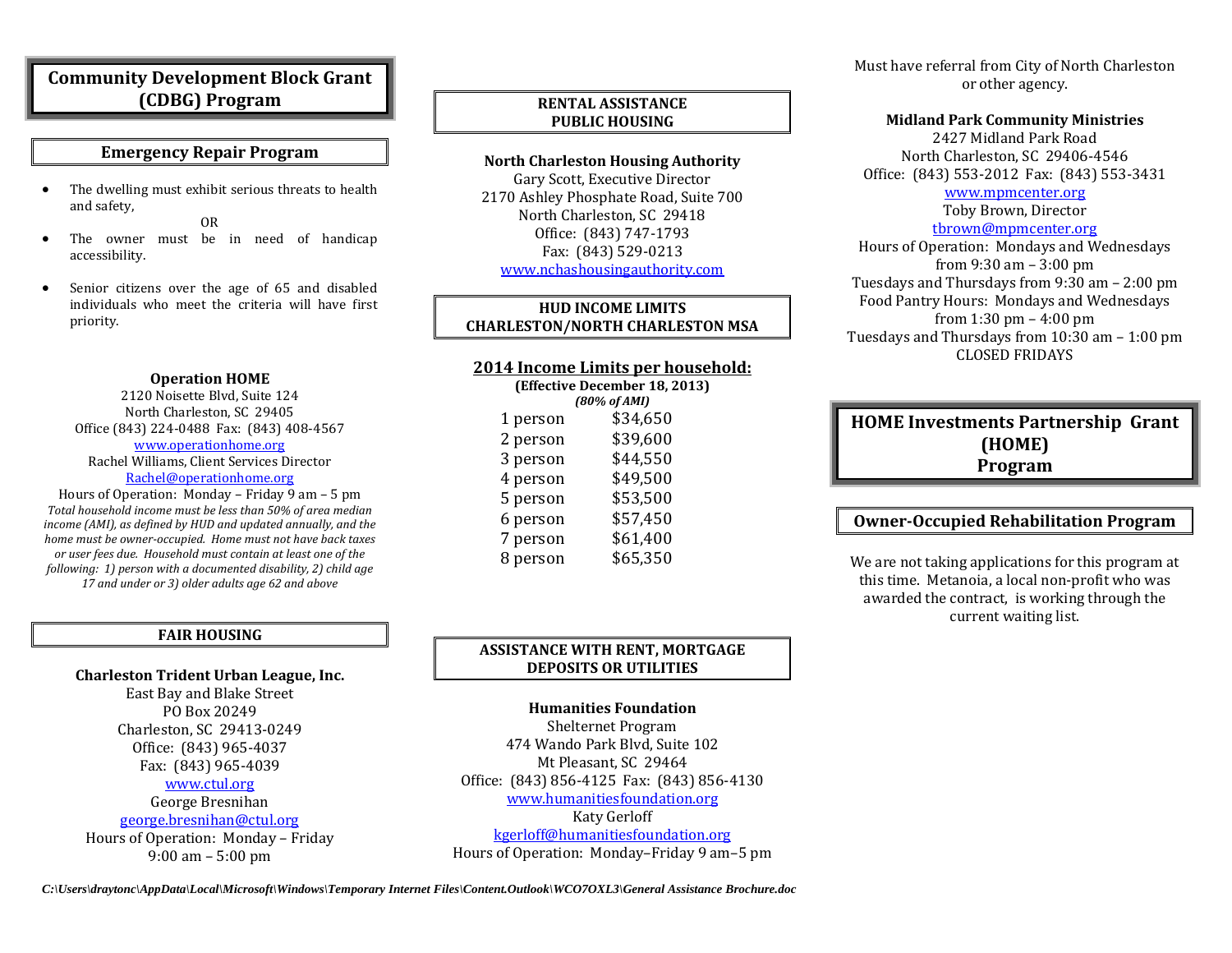## **Community Development Block Grant (CDBG) Program**

### **Emergency Repair Program**

• The dwelling must exhibit serious threats to health and safety,

OR

- The owner must be in need of handicap accessibility.
- Senior citizens over the age of 65 and disabled individuals who meet the criteria will have first priority.

#### **Operation HOME**

2120 Noisette Blvd, Suite 124 North Charleston, SC 29405 Office (843) 224-0488 Fax: (843) 408-4567

#### [www.operationhome.org](http://www.operationhome.org/) Rachel Williams, Client Services Director [Rachel@operationhome.org](mailto:Rachel@operationhome.org)

Hours of Operation: Monday – Friday 9 am – 5 pm *Total household income must be less than 50% of area median income (AMI), as defined by HUD and updated annually, and the home must be owner-occupied. Home must not have back taxes or user fees due. Household must contain at least one of the following: 1) person with a documented disability, 2) child age 17 and under or 3) older adults age 62 and above*

#### **FAIR HOUSING**

**Charleston Trident Urban League, Inc.**

East Bay and Blake Street PO Box 20249 Charleston, SC 29413-0249 Office: (843) 965-4037 Fax: (843) 965-4039 [www.ctul.org](http://www.ctul.org/)

#### George Bresnihan

[george.bresnihan@ctul.org](mailto:george.bresnihan@ctul.org)

Hours of Operation: Monday – Friday 9:00 am – 5:00 pm

## **RENTAL ASSISTANCE PUBLIC HOUSING**

## **North Charleston Housing Authority**

Gary Scott, Executive Director 2170 Ashley Phosphate Road, Suite 700 North Charleston, SC 29418 Office: (843) 747-1793 Fax: (843) 529-0213 [www.nchashousingauthority.com](http://www.nchashousingauthority.com/)

#### **HUD INCOME LIMITS CHARLESTON/NORTH CHARLESTON MSA**

## **2014 Income Limits per household:**

| (Effective December 18, 2013) |          |
|-------------------------------|----------|
| (80% of AMI)                  |          |
| 1 person                      | \$34,650 |
| 2 person                      | \$39,600 |
| 3 person                      | \$44,550 |
| 4 person                      | \$49,500 |
| 5 person                      | \$53,500 |
| 6 person                      | \$57,450 |
| 7 person                      | \$61,400 |
| 8 person                      | \$65,350 |
|                               |          |

### **ASSISTANCE WITH RENT, MORTGAGE DEPOSITS OR UTILITIES**

### **Humanities Foundation** Shelternet Program 474 Wando Park Blvd, Suite 102 Mt Pleasant, SC 29464 Office: (843) 856-4125 Fax: (843) 856-4130 [www.humanitiesfoundation.org](http://www.humanitiesfoundation.org/) Katy Gerloff [kgerloff@humanitiesfoundation.org](mailto:kgerloff@humanitiesfoundation.org) Hours of Operation: Monday–Friday 9 am–5 pm

Must have referral from City of North Charleston or other agency.

#### **Midland Park Community Ministries**

2427 Midland Park Road North Charleston, SC 29406-4546 Office: (843) 553-2012 Fax: (843) 553-3431 [www.mpmcenter.org](http://www.mpmcenter.org/) Toby Brown, Director [tbrown@mpmcenter.org](mailto:dstewart@mpmcenter.org) Hours of Operation: Mondays and Wednesdays from 9:30 am – 3:00 pm Tuesdays and Thursdays from 9:30 am – 2:00 pm Food Pantry Hours: Mondays and Wednesdays from 1:30 pm – 4:00 pm Tuesdays and Thursdays from 10:30 am – 1:00 pm

CLOSED FRIDAYS

## **HOME Investments Partnership Grant (HOME) Program**

## **Owner-Occupied Rehabilitation Program**

We are not taking applications for this program at this time. Metanoia, a local non-profit who was awarded the contract, is working through the current waiting list.

*C:\Users\draytonc\AppData\Local\Microsoft\Windows\Temporary Internet Files\Content.Outlook\WCO7OXL3\General Assistance Brochure.doc*